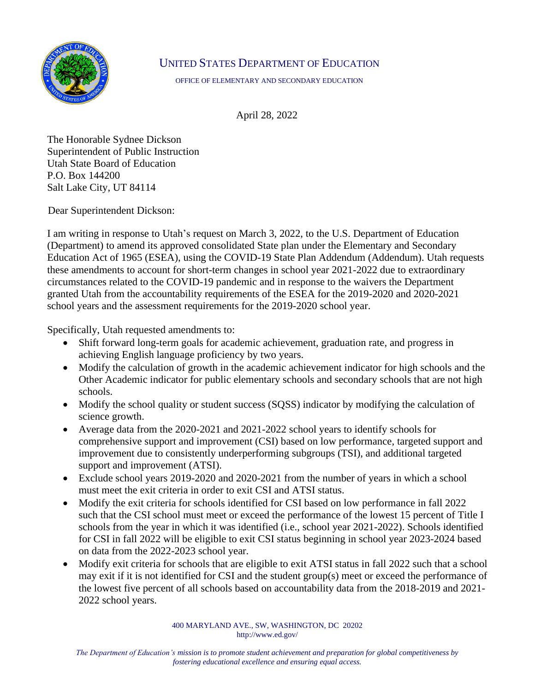

## UNITED STATES DEPARTMENT OF EDUCATION

OFFICE OF ELEMENTARY AND SECONDARY EDUCATION

April 28, 2022

The Honorable Sydnee Dickson Superintendent of Public Instruction Utah State Board of Education P.O. Box 144200 Salt Lake City, UT 84114

Dear Superintendent Dickson:

I am writing in response to Utah's request on March 3, 2022, to the U.S. Department of Education (Department) to amend its approved consolidated State plan under the Elementary and Secondary Education Act of 1965 (ESEA), using the COVID-19 State Plan Addendum (Addendum). Utah requests these amendments to account for short-term changes in school year 2021-2022 due to extraordinary circumstances related to the COVID-19 pandemic and in response to the waivers the Department granted Utah from the accountability requirements of the ESEA for the 2019-2020 and 2020-2021 school years and the assessment requirements for the 2019-2020 school year.

Specifically, Utah requested amendments to:

- Shift forward long-term goals for academic achievement, graduation rate, and progress in achieving English language proficiency by two years.
- Modify the calculation of growth in the academic achievement indicator for high schools and the Other Academic indicator for public elementary schools and secondary schools that are not high schools.
- Modify the school quality or student success (SOSS) indicator by modifying the calculation of science growth.
- Average data from the 2020-2021 and 2021-2022 school years to identify schools for comprehensive support and improvement (CSI) based on low performance, targeted support and improvement due to consistently underperforming subgroups (TSI), and additional targeted support and improvement (ATSI).
- Exclude school years 2019-2020 and 2020-2021 from the number of years in which a school must meet the exit criteria in order to exit CSI and ATSI status.
- Modify the exit criteria for schools identified for CSI based on low performance in fall 2022 such that the CSI school must meet or exceed the performance of the lowest 15 percent of Title I schools from the year in which it was identified (i.e., school year 2021-2022). Schools identified for CSI in fall 2022 will be eligible to exit CSI status beginning in school year 2023-2024 based on data from the 2022-2023 school year.
- Modify exit criteria for schools that are eligible to exit ATSI status in fall 2022 such that a school may exit if it is not identified for CSI and the student group(s) meet or exceed the performance of the lowest five percent of all schools based on accountability data from the 2018-2019 and 2021- 2022 school years.

 400 MARYLAND AVE., SW, WASHINGTON, DC 20202 [http://www.ed.gov/](http://www.ed.gov)